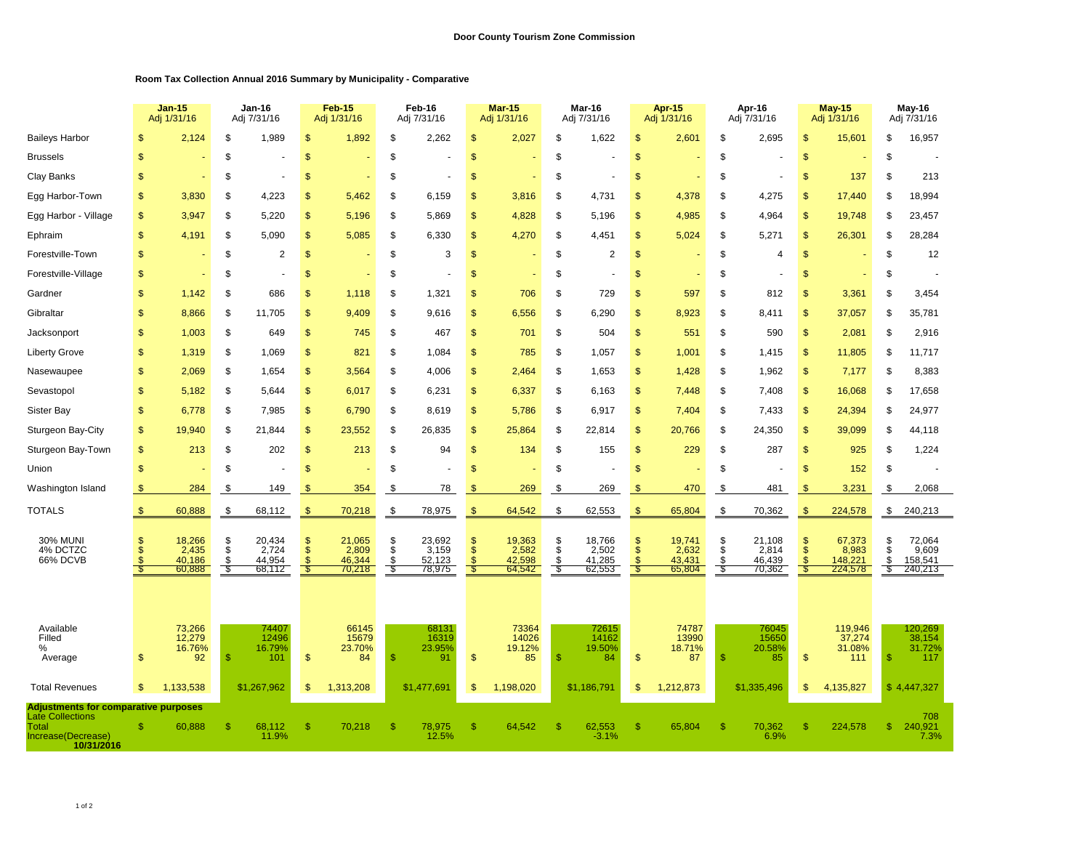## **Room Tax Collection Annual 2016 Summary by Municipality - Comparative**

|                                                                                                                     |                                                | <b>Jan-15</b><br>Adj 1/31/16        |                                | Jan-16<br>Adj 7/31/16               |                                               | <b>Feb-15</b><br>Adj 1/31/16        |                       | Feb-16<br>Adj 7/31/16               |                                      | <b>Mar-15</b><br>Adj 1/31/16        |                     | Mar-16<br>Adj 7/31/16               | <b>Apr-15</b><br>Adj 1/31/16 |                                     | Apr-16<br>Adj 7/31/16        |                                     | <b>May-15</b><br>Adj 1/31/16        |                                       | May-16<br>Adj 7/31/16 |                                       |  |
|---------------------------------------------------------------------------------------------------------------------|------------------------------------------------|-------------------------------------|--------------------------------|-------------------------------------|-----------------------------------------------|-------------------------------------|-----------------------|-------------------------------------|--------------------------------------|-------------------------------------|---------------------|-------------------------------------|------------------------------|-------------------------------------|------------------------------|-------------------------------------|-------------------------------------|---------------------------------------|-----------------------|---------------------------------------|--|
| <b>Baileys Harbor</b>                                                                                               | \$.                                            | 2,124                               | \$                             | 1,989                               | \$                                            | 1,892                               | \$                    | 2,262                               | $\mathsf{\$}$                        | 2,027                               | \$                  | 1,622                               | $\mathsf{\$}$                | 2,601                               | \$                           | 2,695                               | $\mathfrak{s}$                      | 15,601                                | \$                    | 16,957                                |  |
| <b>Brussels</b>                                                                                                     | $\mathbf{s}$                                   |                                     | \$                             |                                     | \$                                            |                                     | \$                    |                                     | $\mathsf{\$}$                        |                                     | \$                  |                                     | $\mathsf{\$}$                |                                     | \$                           |                                     | $\mathfrak{s}$                      |                                       | \$                    |                                       |  |
| Clay Banks                                                                                                          | \$                                             |                                     | \$                             |                                     | \$                                            |                                     | \$                    |                                     | $\mathfrak{s}$                       |                                     | \$                  |                                     | $\mathsf{\$}$                |                                     | \$                           |                                     | $\mathfrak{s}$                      | 137                                   | \$                    | 213                                   |  |
| Egg Harbor-Town                                                                                                     | <sup>\$</sup>                                  | 3,830                               | S                              | 4,223                               | S                                             | 5,462                               | \$                    | 6,159                               | <sup>\$</sup>                        | 3,816                               | S                   | 4,731                               | \$                           | 4,378                               | S                            | 4,275                               | <sup>\$</sup>                       | 17,440                                | \$                    | 18,994                                |  |
| Egg Harbor - Village                                                                                                | \$.                                            | 3,947                               | \$                             | 5.220                               | \$                                            | 5,196                               | \$                    | 5.869                               | \$                                   | 4,828                               | \$                  | 5,196                               | \$.                          | 4,985                               | \$                           | 4.964                               | $\mathbf{s}$                        | 19,748                                | \$                    | 23,457                                |  |
| Ephraim                                                                                                             | $\mathbf{s}$                                   | 4,191                               | \$                             | 5.090                               | \$                                            | 5,085                               | \$                    | 6,330                               | $\mathfrak{s}$                       | 4,270                               | \$                  | 4,451                               | $\mathfrak{s}$               | 5,024                               | \$                           | 5.271                               | $\mathfrak{s}$                      | 26,301                                | S                     | 28,284                                |  |
| Forestville-Town                                                                                                    | \$                                             |                                     | \$                             | 2                                   | \$                                            |                                     | \$                    | 3                                   | $\mathsf{\$}$                        |                                     | \$                  | $\overline{2}$                      | \$                           |                                     | \$                           | $\overline{4}$                      | $\mathfrak{s}$                      |                                       | \$                    | 12                                    |  |
| Forestville-Village                                                                                                 | $\mathbb{S}$                                   |                                     | S                              |                                     | $\mathbb{S}$                                  |                                     | \$                    |                                     | $\mathbb{S}$                         |                                     | \$                  |                                     | $\mathbb{S}$                 |                                     | \$                           |                                     | $\mathfrak{s}$                      |                                       | S                     |                                       |  |
| Gardner                                                                                                             | $\mathbf{s}$                                   | 1,142                               | \$                             | 686                                 | \$                                            | 1,118                               | \$                    | 1,321                               | $\mathfrak{s}$                       | 706                                 | \$                  | 729                                 | $\mathsf{\$}$                | 597                                 | \$                           | 812                                 | \$                                  | 3,361                                 | \$                    | 3,454                                 |  |
| Gibraltar                                                                                                           | $\mathbf{s}$                                   | 8,866                               | \$                             | 11,705                              | \$                                            | 9,409                               | \$                    | 9,616                               | $\mathfrak{s}$                       | 6,556                               | \$                  | 6,290                               | $\mathsf{\$}$                | 8,923                               | \$                           | 8,411                               | $\mathfrak{s}$                      | 37,057                                | \$                    | 35,781                                |  |
| Jacksonport                                                                                                         | \$                                             | 1,003                               | \$                             | 649                                 | \$                                            | 745                                 | \$                    | 467                                 | $\mathsf{\$}$                        | 701                                 | \$                  | 504                                 | \$                           | 551                                 | \$                           | 590                                 | $\mathfrak{s}$                      | 2,081                                 | \$                    | 2,916                                 |  |
| <b>Liberty Grove</b>                                                                                                | $\mathbf{s}$                                   | 1,319                               | \$                             | 1,069                               | \$                                            | 821                                 | \$                    | 1,084                               | $\mathfrak{s}$                       | 785                                 | \$                  | 1,057                               | $\mathsf{\$}$                | 1,001                               | \$                           | 1,415                               | $\mathfrak{s}$                      | 11,805                                | \$                    | 11,717                                |  |
| Nasewaupee                                                                                                          | $\mathbf{s}$                                   | 2,069                               | \$                             | 1,654                               | \$                                            | 3,564                               | \$                    | 4,006                               | $\mathfrak{s}$                       | 2,464                               | \$                  | 1,653                               | \$                           | 1,428                               | \$                           | 1,962                               | $\sqrt{2}$                          | 7,177                                 | S                     | 8,383                                 |  |
| Sevastopol                                                                                                          | $\mathbf{s}$                                   | 5,182                               | \$                             | 5,644                               | \$                                            | 6,017                               | \$                    | 6,231                               | $\frac{1}{2}$                        | 6,337                               | \$                  | 6,163                               | \$                           | 7,448                               | \$                           | 7,408                               | $\sqrt{2}$                          | 16,068                                | \$                    | 17,658                                |  |
| Sister Bay                                                                                                          | $\mathcal{S}$                                  | 6,778                               | \$                             | 7,985                               | \$                                            | 6,790                               | \$                    | 8,619                               | $\frac{1}{2}$                        | 5,786                               | \$                  | 6,917                               | \$                           | 7,404                               | \$                           | 7,433                               | $\sqrt{2}$                          | 24,394                                | \$                    | 24,977                                |  |
| Sturgeon Bay-City                                                                                                   | \$                                             | 19,940                              | \$                             | 21,844                              | \$                                            | 23,552                              | \$                    | 26,835                              | $\frac{1}{2}$                        | 25,864                              | \$                  | 22,814                              | \$                           | 20,766                              | \$                           | 24,350                              | $\sqrt{2}$                          | 39,099                                | \$                    | 44,118                                |  |
| Sturgeon Bay-Town                                                                                                   | $\mathsf{\$}$                                  | 213                                 | \$                             | 202                                 | $\mathsf{\$}$                                 | 213                                 | \$                    | 94                                  | $\mathsf{\$}$                        | 134                                 | \$                  | 155                                 | $\mathsf{\$}$                | 229                                 | \$                           | 287                                 | $\mathfrak{s}$                      | 925                                   | \$                    | 1,224                                 |  |
| Union                                                                                                               | $\mathbf{s}$                                   |                                     | \$                             |                                     | \$                                            |                                     | \$                    |                                     | $\mathfrak{s}$                       |                                     | \$                  |                                     | $\mathsf{\$}$                |                                     | \$                           |                                     | $\mathfrak{s}$                      | 152                                   | \$                    |                                       |  |
| Washington Island                                                                                                   | \$                                             | 284                                 | S                              | 149                                 | S                                             | 354                                 | -\$                   | 78                                  | .S                                   | 269                                 | \$                  | 269                                 | \$                           | 470                                 | \$                           | 481                                 | S                                   | 3,231                                 | \$                    | 2,068                                 |  |
| TOTALS                                                                                                              | $\frac{1}{2}$                                  | 60,888                              | \$                             | 68,112                              | \$                                            | 70,218                              | \$                    | 78,975                              | $\sqrt[3]{2}$                        | 64,542                              | \$                  | 62,553                              | \$                           | 65,804                              | \$                           | 70,362                              | $\sqrt[6]{3}$                       | 224,578                               | \$                    | 240,213                               |  |
| <b>30% MUNI</b><br>4% DCTZC<br>66% DCVB                                                                             | $\mathcal{S}$<br>$\mathbf{s}$<br>$\mathcal{F}$ | 18,266<br>2,435<br>40.186<br>60,888 | \$<br>$\ddot{s}$<br>\$<br>- \$ | 20,434<br>2,724<br>44.954<br>68,112 | \$<br>$\ddot{s}$<br>$\mathbf{\hat{s}}$<br>-85 | 21,065<br>2,809<br>46,344<br>70,218 | \$<br>\$<br>\$<br>-\$ | 23,692<br>3,159<br>52,123<br>78,975 | $\mathfrak{s}$<br>$\mathbb{S}$<br>-S | 19,363<br>2,582<br>42.598<br>64,542 | \$<br>\$<br>\$<br>S | 18,766<br>2,502<br>41,285<br>62,553 | \$<br>$\mathsf{\$}$<br>Я     | 19,741<br>2,632<br>43.431<br>65,804 | \$<br>Ŝ.<br>$\ddot{s}$<br>S. | 21,108<br>2,814<br>46,439<br>70,362 | $\sqrt[6]{3}$<br>$\mathbf{s}$<br>-9 | 67,373<br>8,983<br>148.221<br>224,578 | \$<br>\$<br>\$.<br>£, | 72,064<br>9,609<br>158.541<br>240,213 |  |
| Available<br>Filled<br>%<br>Average                                                                                 | \$                                             | 73,266<br>12,279<br>16.76%<br>92    | $\mathbf{s}$                   | 74407<br>12496<br>16.79%<br>101     | $\mathsf{\$}$                                 | 66145<br>15679<br>23.70%<br>84      | $\mathbf S$           | 68131<br>16319<br>23.95%<br>91      | $\mathbf{s}$                         | 73364<br>14026<br>19.12%<br>85      | \$                  | 72615<br>14162<br>19.50%<br>84      | $\mathbf{s}$                 | 74787<br>13990<br>18.71%<br>87      | \$                           | 76045<br>15650<br>20.58%<br>85      | $\mathbf{s}$                        | 119,946<br>37,274<br>31.08%<br>111    | $\mathbf{s}$          | 120,269<br>38,154<br>31.72%<br>117    |  |
| <b>Total Revenues</b>                                                                                               | $\mathfrak{s}$                                 | 1,133,538                           |                                | \$1,267,962                         | $\mathfrak{s}$                                | 1,313,208                           |                       | \$1,477,691                         | \$                                   | 1,198,020                           |                     | \$1,186,791                         | \$                           | 1,212,873                           |                              | \$1,335,496                         | \$                                  | 4,135,827                             |                       | \$4,447,327                           |  |
| <b>Adjustments for comparative purposes</b><br>Late Collections<br><b>Total</b><br>Increase(Decrease)<br>10/31/2016 | <b>S</b>                                       | 60,888                              | <sup>\$</sup>                  | 68,112<br>11.9%                     | $\mathsf{\$}$                                 | 70,218                              | S                     | 78,975<br>12.5%                     | S                                    | 64,542                              | \$.                 | 62,553<br>$-3.1%$                   | S                            | 65,804                              | \$                           | 70,362<br>6.9%                      | <sup>\$</sup>                       | 224,578                               | \$.                   | 708<br>240,921<br>7.3%                |  |